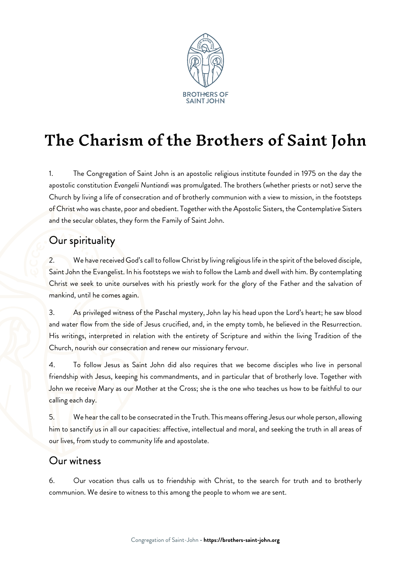

# The Charism of the Brothers of Saint John

1. The Congregation of Saint John is an apostolic religious institute founded in 1975 on the day the apostolic constitution Evangelii Nuntiandi was promulgated. The brothers (whether priests or not) serve the Church by living a life of consecration and of brotherly communion with a view to mission, in the footsteps of Christ who was chaste, poor and obedient. Together with the Apostolic Sisters, the Contemplative Sisters and the secular oblates, they form the Family of Saint John.

## Our spirituality

2. We have received God's call to follow Christ by living religious life in the spirit of the beloved disciple, Saint John the Evangelist. In his footsteps we wish to follow the Lamb and dwell with him. By contemplating Christ we seek to unite ourselves with his priestly work for the glory of the Father and the salvation of mankind, until he comes again.

3. As privileged witness of the Paschal mystery, John lay his head upon the Lord's heart; he saw blood and water flow from the side of Jesus crucified, and, in the empty tomb, he believed in the Resurrection. His writings, interpreted in relation with the entirety of Scripture and within the living Tradition of the Church, nourish our consecration and renew our missionary fervour.

4. To follow Jesus as Saint John did also requires that we become disciples who live in personal friendship with Jesus, keeping his commandments, and in particular that of brotherly love. Together with John we receive Mary as our Mother at the Cross; she is the one who teaches us how to be faithful to our calling each day.

5. We hear the call to be consecrated in the Truth. This means offering Jesus our whole person, allowing him to sanctify us in all our capacities: affective, intellectual and moral, and seeking the truth in all areas of our lives, from study to community life and apostolate.

### Our witness

6. Our vocation thus calls us to friendship with Christ, to the search for truth and to brotherly communion. We desire to witness to this among the people to whom we are sent.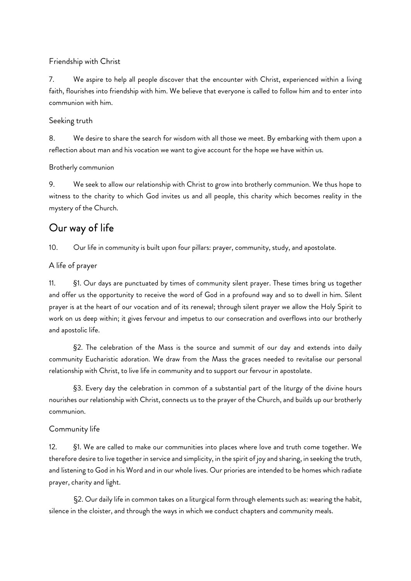### Friendship with Christ

7. We aspire to help all people discover that the encounter with Christ, experienced within a living faith, flourishes into friendship with him. We believe that everyone is called to follow him and to enter into communion with him.

### Seeking truth

8. We desire to share the search for wisdom with all those we meet. By embarking with them upon a reflection about man and his vocation we want to give account for the hope we have within us.

### Brotherly communion

9. We seek to allow our relationship with Christ to grow into brotherly communion. We thus hope to witness to the charity to which God invites us and all people, this charity which becomes reality in the mystery of the Church.

### Our way of life

10. Our life in community is built upon four pillars: prayer, community, study, and apostolate.

### A life of prayer

11. §1. Our days are punctuated by times of community silent prayer. These times bring us together and offer us the opportunity to receive the word of God in a profound way and so to dwell in him. Silent prayer is at the heart of our vocation and of its renewal; through silent prayer we allow the Holy Spirit to work on us deep within; it gives fervour and impetus to our consecration and overflows into our brotherly and apostolic life.

§2. The celebration of the Mass is the source and summit of our day and extends into daily community Eucharistic adoration. We draw from the Mass the graces needed to revitalise our personal relationship with Christ, to live life in community and to support our fervour in apostolate.

§3. Every day the celebration in common of a substantial part of the liturgy of the divine hours nourishes our relationship with Christ, connects us to the prayer of the Church, and builds up our brotherly communion.

### Community life

12. §1. We are called to make our communities into places where love and truth come together. We therefore desire to live together in service and simplicity, in the spirit of joy and sharing, in seeking the truth, and listening to God in his Word and in our whole lives. Our priories are intended to be homes which radiate prayer, charity and light.

§2. Our daily life in common takes on a liturgical form through elements such as: wearing the habit, silence in the cloister, and through the ways in which we conduct chapters and community meals.